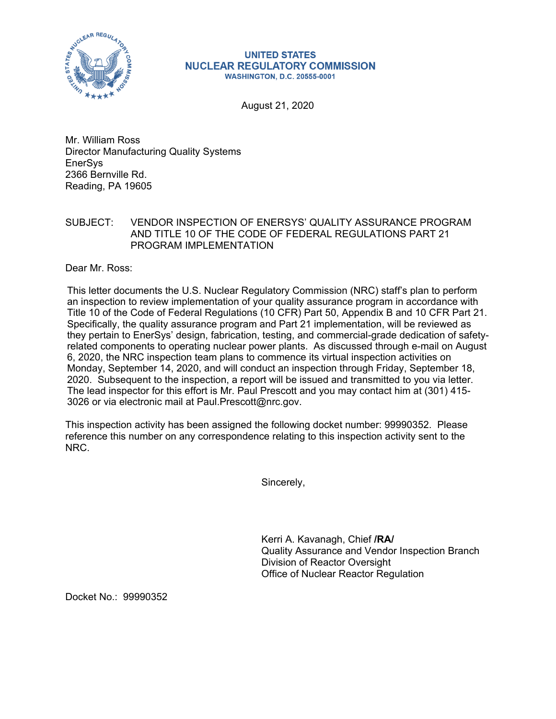

## **UNITED STATES NUCLEAR REGULATORY COMMISSION WASHINGTON, D.C. 20555-0001**

August 21, 2020

Mr. William Ross Director Manufacturing Quality Systems **EnerSys** 2366 Bernville Rd. Reading, PA 19605

## SUBJECT: VENDOR INSPECTION OF ENERSYS' QUALITY ASSURANCE PROGRAM AND TITLE 10 OF THE CODE OF FEDERAL REGULATIONS PART 21 PROGRAM IMPLEMENTATION

Dear Mr. Ross:

This letter documents the U.S. Nuclear Regulatory Commission (NRC) staff's plan to perform an inspection to review implementation of your quality assurance program in accordance with Title 10 of the Code of Federal Regulations (10 CFR) Part 50, Appendix B and 10 CFR Part 21. Specifically, the quality assurance program and Part 21 implementation, will be reviewed as they pertain to EnerSys' design, fabrication, testing, and commercial-grade dedication of safetyrelated components to operating nuclear power plants. As discussed through e-mail on August 6, 2020, the NRC inspection team plans to commence its virtual inspection activities on Monday, September 14, 2020, and will conduct an inspection through Friday, September 18, 2020. Subsequent to the inspection, a report will be issued and transmitted to you via letter. The lead inspector for this effort is Mr. Paul Prescott and you may contact him at (301) 415- 3026 or via electronic mail at Paul.Prescott@nrc.gov.

This inspection activity has been assigned the following docket number: 99990352. Please reference this number on any correspondence relating to this inspection activity sent to the NRC.

Sincerely,

Kerri A. Kavanagh, Chief **/RA/**  Quality Assurance and Vendor Inspection Branch Division of Reactor Oversight Office of Nuclear Reactor Regulation

Docket No.: 99990352